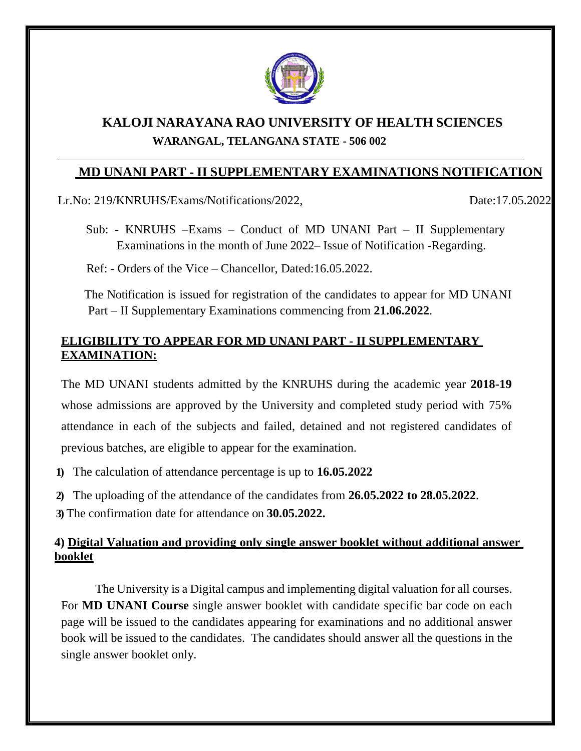

# **KALOJI NARAYANA RAO UNIVERSITY OF HEALTH SCIENCES WARANGAL, TELANGANA STATE - 506 002**

## **MD UNANI PART - II SUPPLEMENTARY EXAMINATIONS NOTIFICATION**

Lr.No: 219/KNRUHS/Exams/Notifications/2022, Date:17.05.2022.

Sub: - KNRUHS –Exams – Conduct of MD UNANI Part – II Supplementary Examinations in the month of June 2022– Issue of Notification -Regarding.

Ref: - Orders of the Vice – Chancellor, Dated:16.05.2022.

The Notification is issued for registration of the candidates to appear for MD UNANI Part – II Supplementary Examinations commencing from **21.06.2022**.

### **ELIGIBILITY TO APPEAR FOR MD UNANI PART - II SUPPLEMENTARY EXAMINATION:**

The MD UNANI students admitted by the KNRUHS during the academic year **2018-19** whose admissions are approved by the University and completed study period with 75% attendance in each of the subjects and failed, detained and not registered candidates of previous batches, are eligible to appear for the examination.

**1)** The calculation of attendance percentage is up to **16.05.2022**

**2)** The uploading of the attendance of the candidates from **26.05.2022 to 28.05.2022**.

**3)** The confirmation date for attendance on **30.05.2022.**

### **4) Digital Valuation and providing only single answer booklet without additional answer booklet**

The University is a Digital campus and implementing digital valuation for all courses. For **MD UNANI Course** single answer booklet with candidate specific bar code on each page will be issued to the candidates appearing for examinations and no additional answer book will be issued to the candidates. The candidates should answer all the questions in the single answer booklet only.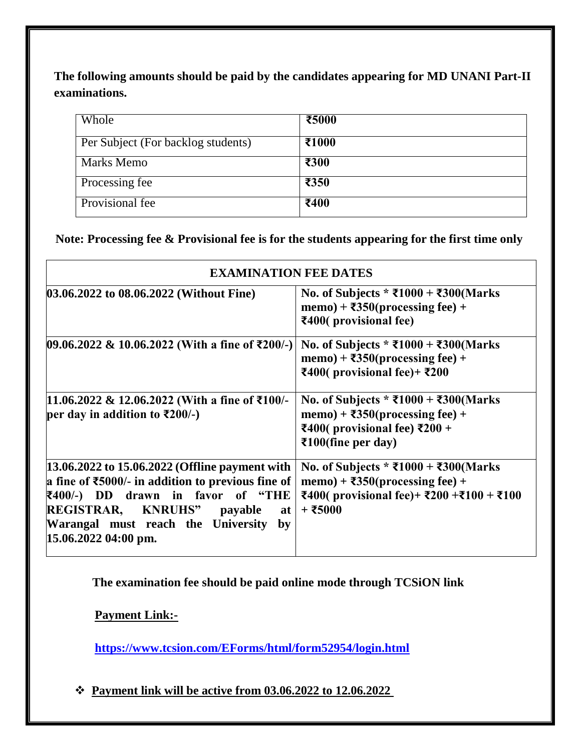**The following amounts should be paid by the candidates appearing for MD UNANI Part-II examinations.**

| Whole                              | ₹5000 |
|------------------------------------|-------|
| Per Subject (For backlog students) | ₹1000 |
| <b>Marks Memo</b>                  | ₹300  |
| Processing fee                     | ₹350  |
| Provisional fee                    | ₹400  |

**Note: Processing fee & Provisional fee is for the students appearing for the first time only**

| <b>EXAMINATION FEE DATES</b>                                                                                                                                                                                                                                             |                                                                                                                                                                                |  |  |
|--------------------------------------------------------------------------------------------------------------------------------------------------------------------------------------------------------------------------------------------------------------------------|--------------------------------------------------------------------------------------------------------------------------------------------------------------------------------|--|--|
| 03.06.2022 to 08.06.2022 (Without Fine)                                                                                                                                                                                                                                  | No. of Subjects * ₹1000 + ₹300(Marks<br>memo) + $\overline{\text{350}}$ (processing fee) +<br>₹400(provisional fee)                                                            |  |  |
| $[09.06.2022 \& 10.06.2022$ (With a fine of ₹200/-)                                                                                                                                                                                                                      | No. of Subjects * ₹1000 + ₹300(Marks<br>memo) + $\overline{\text{350}}$ (processing fee) +<br>₹400(provisional fee)+ ₹200                                                      |  |  |
| 11.06.2022 & 12.06.2022 (With a fine of ₹100/-<br>per day in addition to ₹200/-)                                                                                                                                                                                         | No. of Subjects * ₹1000 + ₹300(Marks<br>memo) + $\overline{350}$ (processing fee) +<br>₹400( provisional fee) $\overline{\xi}200 +$<br>$\overline{\text{2100}}$ (fine per day) |  |  |
| 13.06.2022 to 15.06.2022 (Offline payment with<br>a fine of $\text{\textsterling}5000$ /- in addition to previous fine of<br>₹400/-) DD drawn in favor of "THE<br>REGISTRAR, KNRUHS" payable<br>at<br>Warangal must reach the University<br>by<br>$15.06.2022$ 04:00 pm. | No. of Subjects * ₹1000 + ₹300(Marks<br>memo) + $\overline{350}$ (processing fee) +<br>₹400( provisional fee)+ ₹200 +₹100 + ₹100<br>+ ₹5000                                    |  |  |

**The examination fee should be paid online mode through TCSiON link**

**Payment Link:-**

**<https://www.tcsion.com/EForms/html/form52954/login.html>**

❖ **Payment link will be active from 03.06.2022 to 12.06.2022**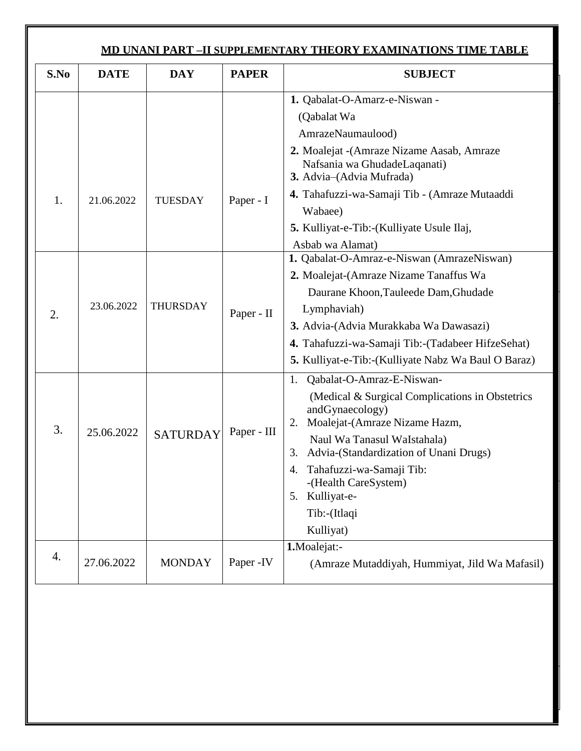| <u>MD UNANI PART –II SUPPLEMENTARY THEORY EXAMINATIONS TIME TABLE</u> |             |                 |              |                                                                                                                                                                                                                                                                                                                                                                                           |
|-----------------------------------------------------------------------|-------------|-----------------|--------------|-------------------------------------------------------------------------------------------------------------------------------------------------------------------------------------------------------------------------------------------------------------------------------------------------------------------------------------------------------------------------------------------|
| S.No                                                                  | <b>DATE</b> | <b>DAY</b>      | <b>PAPER</b> | <b>SUBJECT</b>                                                                                                                                                                                                                                                                                                                                                                            |
| 1.                                                                    | 21.06.2022  | <b>TUESDAY</b>  | Paper - I    | 1. Qabalat-O-Amarz-e-Niswan -<br>(Qabalat Wa<br>AmrazeNaumaulood)<br>2. Moalejat - (Amraze Nizame Aasab, Amraze<br>Nafsania wa GhudadeLaqanati)<br>3. Advia-(Advia Mufrada)<br>4. Tahafuzzi-wa-Samaji Tib - (Amraze Mutaaddi<br>Wabaee)                                                                                                                                                   |
| 2.                                                                    | 23.06.2022  | <b>THURSDAY</b> | Paper - II   | 5. Kulliyat-e-Tib:-(Kulliyate Usule Ilaj,<br>Asbab wa Alamat)<br>1. Qabalat-O-Amraz-e-Niswan (AmrazeNiswan)<br>2. Moalejat-(Amraze Nizame Tanaffus Wa<br>Daurane Khoon, Tauleede Dam, Ghudade<br>Lymphaviah)<br>3. Advia-(Advia Murakkaba Wa Dawasazi)<br>4. Tahafuzzi-wa-Samaji Tib:-(Tadabeer HifzeSehat)                                                                               |
| 3.                                                                    | 25.06.2022  | <b>SATURDAY</b> | Paper - III  | 5. Kulliyat-e-Tib:-(Kulliyate Nabz Wa Baul O Baraz)<br>Qabalat-O-Amraz-E-Niswan-<br>1.<br>(Medical & Surgical Complications in Obstetrics)<br>andGynaecology)<br>Moalejat-(Amraze Nizame Hazm,<br>2.<br>Naul Wa Tanasul WaIstahala)<br>Advia-(Standardization of Unani Drugs)<br>Tahafuzzi-wa-Samaji Tib:<br>4.<br>-(Health CareSystem)<br>Kulliyat-e-<br>5.<br>Tib:-(Itlaqi<br>Kulliyat) |
| 4.                                                                    | 27.06.2022  | <b>MONDAY</b>   | Paper - IV   | 1.Moalejat:-<br>(Amraze Mutaddiyah, Hummiyat, Jild Wa Mafasil)                                                                                                                                                                                                                                                                                                                            |